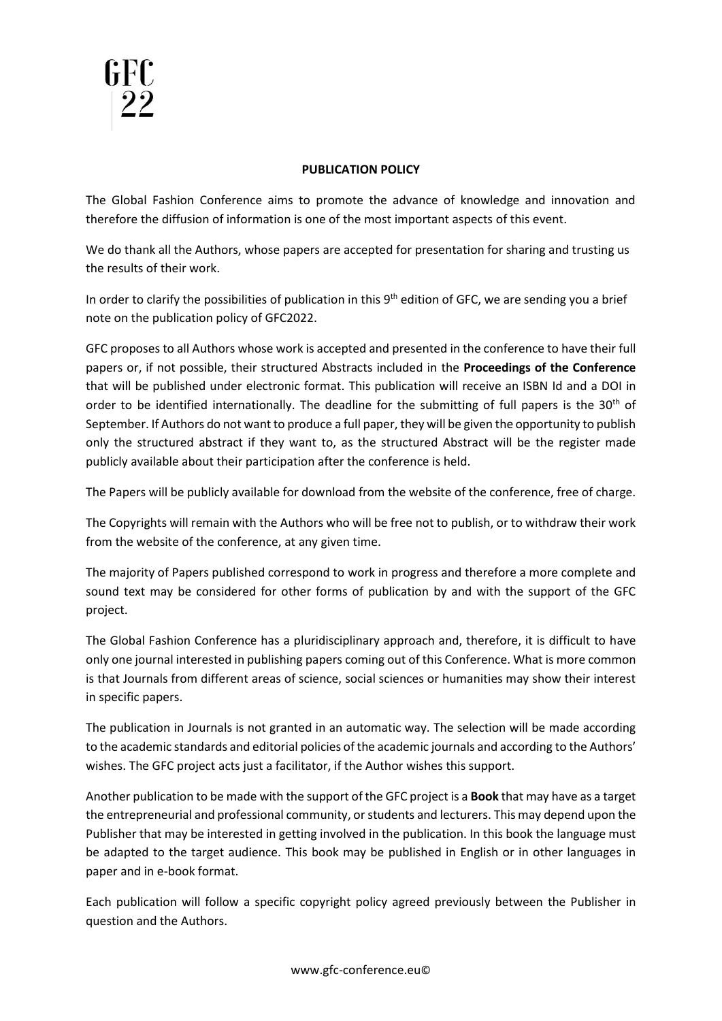## **PUBLICATION POLICY**

The Global Fashion Conference aims to promote the advance of knowledge and innovation and therefore the diffusion of information is one of the most important aspects of this event.

We do thank all the Authors, whose papers are accepted for presentation for sharing and trusting us the results of their work.

In order to clarify the possibilities of publication in this 9<sup>th</sup> edition of GFC, we are sending you a brief note on the publication policy of GFC2022.

GFC proposes to all Authors whose work is accepted and presented in the conference to have their full papers or, if not possible, their structured Abstracts included in the **Proceedings of the Conference** that will be published under electronic format. This publication will receive an ISBN Id and a DOI in order to be identified internationally. The deadline for the submitting of full papers is the  $30<sup>th</sup>$  of September. If Authors do not want to produce a full paper, they will be given the opportunity to publish only the structured abstract if they want to, as the structured Abstract will be the register made publicly available about their participation after the conference is held.

The Papers will be publicly available for download from the website of the conference, free of charge.

The Copyrights will remain with the Authors who will be free not to publish, or to withdraw their work from the website of the conference, at any given time.

The majority of Papers published correspond to work in progress and therefore a more complete and sound text may be considered for other forms of publication by and with the support of the GFC project.

The Global Fashion Conference has a pluridisciplinary approach and, therefore, it is difficult to have only one journal interested in publishing papers coming out of this Conference. What is more common is that Journals from different areas of science, social sciences or humanities may show their interest in specific papers.

The publication in Journals is not granted in an automatic way. The selection will be made according to the academic standards and editorial policies of the academic journals and according to the Authors' wishes. The GFC project acts just a facilitator, if the Author wishes this support.

Another publication to be made with the support of the GFC project is a **Book** that may have as a target the entrepreneurial and professional community, or students and lecturers. This may depend upon the Publisher that may be interested in getting involved in the publication. In this book the language must be adapted to the target audience. This book may be published in English or in other languages in paper and in e-book format.

Each publication will follow a specific copyright policy agreed previously between the Publisher in question and the Authors.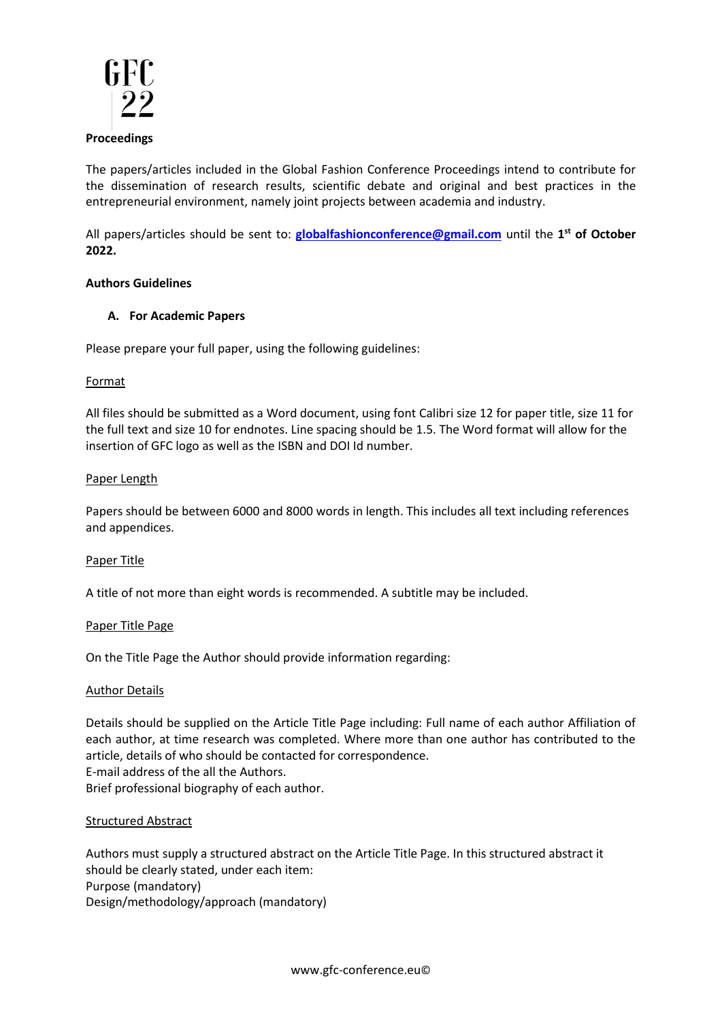

#### **Proceedings**

The papers/articles included in the Global Fashion Conference Proceedings intend to contribute for the dissemination of research results, scientific debate and original and best practices in the entrepreneurial environment, namely joint projects between academia and industry.

All papers/articles should be sent to: **[globalfashionconference@gmail.com](mailto:globalfashionconference@gmail.com)** until the **1 st of October 2022.**

#### **Authors Guidelines**

## **A. For Academic Papers**

Please prepare your full paper, using the following guidelines:

#### Format

All files should be submitted as a Word document, using font Calibri size 12 for paper title, size 11 for the full text and size 10 for endnotes. Line spacing should be 1.5. The Word format will allow for the insertion of GFC logo as well as the ISBN and DOI Id number.

#### Paper Length

Papers should be between 6000 and 8000 words in length. This includes all text including references and appendices.

#### Paper Title

A title of not more than eight words is recommended. A subtitle may be included.

#### Paper Title Page

On the Title Page the Author should provide information regarding:

#### Author Details

Details should be supplied on the Article Title Page including: Full name of each author Affiliation of each author, at time research was completed. Where more than one author has contributed to the article, details of who should be contacted for correspondence. E-mail address of the all the Authors. Brief professional biography of each author.

#### Structured Abstract

Authors must supply a structured abstract on the Article Title Page. In this structured abstract it should be clearly stated, under each item: Purpose (mandatory) Design/methodology/approach (mandatory)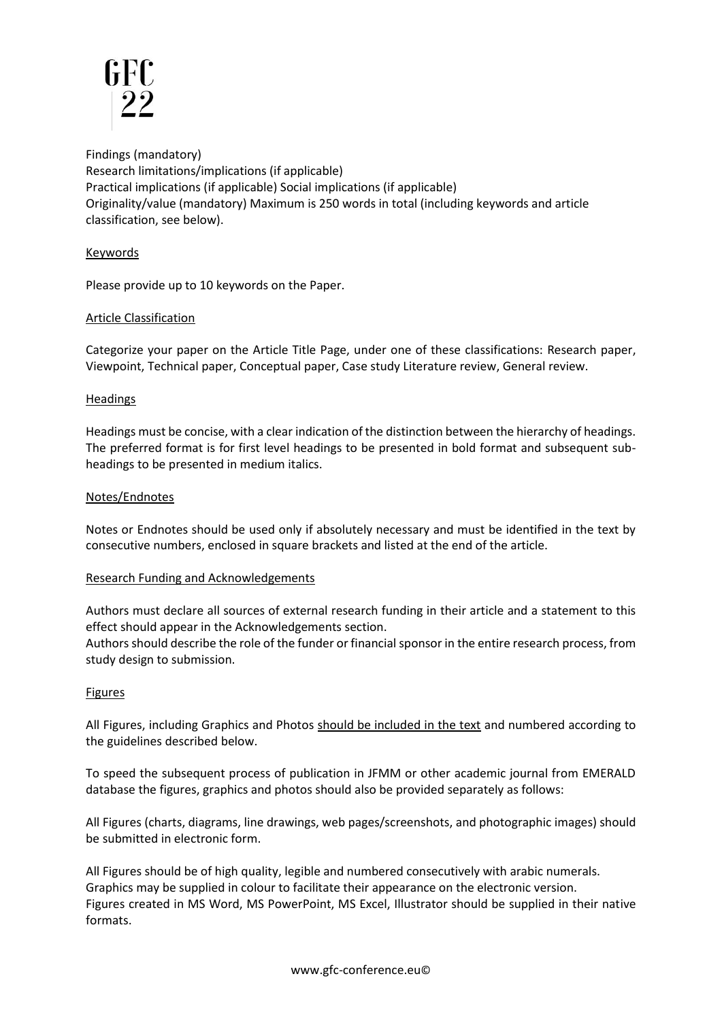

Findings (mandatory) Research limitations/implications (if applicable) Practical implications (if applicable) Social implications (if applicable) Originality/value (mandatory) Maximum is 250 words in total (including keywords and article classification, see below).

#### **Keywords**

Please provide up to 10 keywords on the Paper.

#### Article Classification

Categorize your paper on the Article Title Page, under one of these classifications: Research paper, Viewpoint, Technical paper, Conceptual paper, Case study Literature review, General review.

#### **Headings**

Headings must be concise, with a clear indication of the distinction between the hierarchy of headings. The preferred format is for first level headings to be presented in bold format and subsequent subheadings to be presented in medium italics.

#### Notes/Endnotes

Notes or Endnotes should be used only if absolutely necessary and must be identified in the text by consecutive numbers, enclosed in square brackets and listed at the end of the article.

#### Research Funding and Acknowledgements

Authors must declare all sources of external research funding in their article and a statement to this effect should appear in the Acknowledgements section.

Authors should describe the role of the funder or financial sponsor in the entire research process, from study design to submission.

#### **Figures**

All Figures, including Graphics and Photos should be included in the text and numbered according to the guidelines described below.

To speed the subsequent process of publication in JFMM or other academic journal from EMERALD database the figures, graphics and photos should also be provided separately as follows:

All Figures (charts, diagrams, line drawings, web pages/screenshots, and photographic images) should be submitted in electronic form.

All Figures should be of high quality, legible and numbered consecutively with arabic numerals. Graphics may be supplied in colour to facilitate their appearance on the electronic version. Figures created in MS Word, MS PowerPoint, MS Excel, Illustrator should be supplied in their native formats.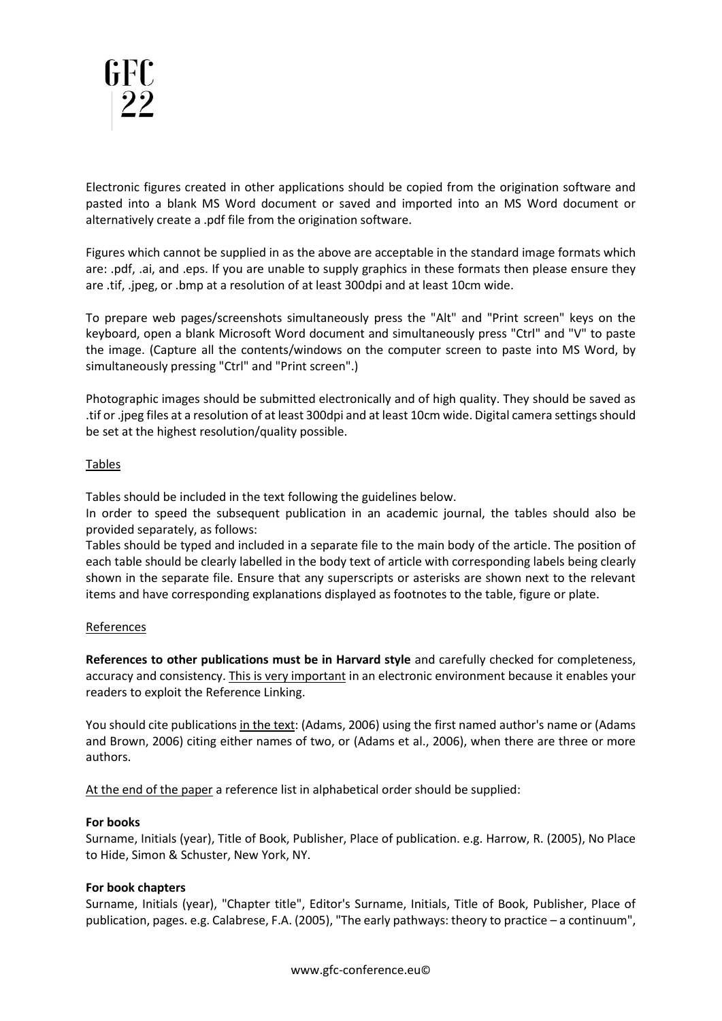Electronic figures created in other applications should be copied from the origination software and pasted into a blank MS Word document or saved and imported into an MS Word document or alternatively create a .pdf file from the origination software.

Figures which cannot be supplied in as the above are acceptable in the standard image formats which are: .pdf, .ai, and .eps. If you are unable to supply graphics in these formats then please ensure they are .tif, .jpeg, or .bmp at a resolution of at least 300dpi and at least 10cm wide.

To prepare web pages/screenshots simultaneously press the "Alt" and "Print screen" keys on the keyboard, open a blank Microsoft Word document and simultaneously press "Ctrl" and "V" to paste the image. (Capture all the contents/windows on the computer screen to paste into MS Word, by simultaneously pressing "Ctrl" and "Print screen".)

Photographic images should be submitted electronically and of high quality. They should be saved as .tif or .jpeg files at a resolution of at least 300dpi and at least 10cm wide. Digital camera settings should be set at the highest resolution/quality possible.

## Tables

Tables should be included in the text following the guidelines below.

In order to speed the subsequent publication in an academic journal, the tables should also be provided separately, as follows:

Tables should be typed and included in a separate file to the main body of the article. The position of each table should be clearly labelled in the body text of article with corresponding labels being clearly shown in the separate file. Ensure that any superscripts or asterisks are shown next to the relevant items and have corresponding explanations displayed as footnotes to the table, figure or plate.

#### References

**References to other publications must be in Harvard style** and carefully checked for completeness, accuracy and consistency. This is very important in an electronic environment because it enables your readers to exploit the Reference Linking.

You should cite publications in the text: (Adams, 2006) using the first named author's name or (Adams and Brown, 2006) citing either names of two, or (Adams et al., 2006), when there are three or more authors.

At the end of the paper a reference list in alphabetical order should be supplied:

#### **For books**

Surname, Initials (year), Title of Book, Publisher, Place of publication. e.g. Harrow, R. (2005), No Place to Hide, Simon & Schuster, New York, NY.

#### **For book chapters**

Surname, Initials (year), "Chapter title", Editor's Surname, Initials, Title of Book, Publisher, Place of publication, pages. e.g. Calabrese, F.A. (2005), "The early pathways: theory to practice – a continuum",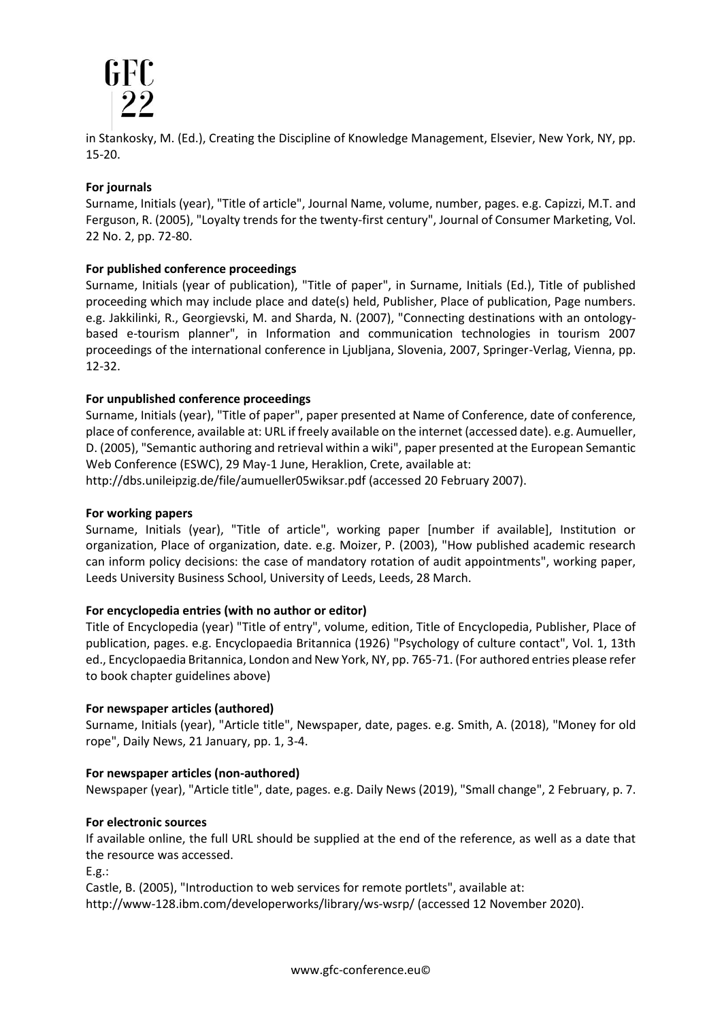# **GFC**  $\overline{22}$

in Stankosky, M. (Ed.), Creating the Discipline of Knowledge Management, Elsevier, New York, NY, pp. 15-20.

# **For journals**

Surname, Initials (year), "Title of article", Journal Name, volume, number, pages. e.g. Capizzi, M.T. and Ferguson, R. (2005), "Loyalty trends for the twenty-first century", Journal of Consumer Marketing, Vol. 22 No. 2, pp. 72-80.

# **For published conference proceedings**

Surname, Initials (year of publication), "Title of paper", in Surname, Initials (Ed.), Title of published proceeding which may include place and date(s) held, Publisher, Place of publication, Page numbers. e.g. Jakkilinki, R., Georgievski, M. and Sharda, N. (2007), "Connecting destinations with an ontologybased e-tourism planner", in Information and communication technologies in tourism 2007 proceedings of the international conference in Ljubljana, Slovenia, 2007, Springer-Verlag, Vienna, pp. 12-32.

# **For unpublished conference proceedings**

Surname, Initials (year), "Title of paper", paper presented at Name of Conference, date of conference, place of conference, available at: URL if freely available on the internet (accessed date). e.g. Aumueller, D. (2005), "Semantic authoring and retrieval within a wiki", paper presented at the European Semantic Web Conference (ESWC), 29 May-1 June, Heraklion, Crete, available at:

http://dbs.unileipzig.de/file/aumueller05wiksar.pdf (accessed 20 February 2007).

#### **For working papers**

Surname, Initials (year), "Title of article", working paper [number if available], Institution or organization, Place of organization, date. e.g. Moizer, P. (2003), "How published academic research can inform policy decisions: the case of mandatory rotation of audit appointments", working paper, Leeds University Business School, University of Leeds, Leeds, 28 March.

# **For encyclopedia entries (with no author or editor)**

Title of Encyclopedia (year) "Title of entry", volume, edition, Title of Encyclopedia, Publisher, Place of publication, pages. e.g. Encyclopaedia Britannica (1926) "Psychology of culture contact", Vol. 1, 13th ed., Encyclopaedia Britannica, London and New York, NY, pp. 765-71. (For authored entries please refer to book chapter guidelines above)

#### **For newspaper articles (authored)**

Surname, Initials (year), "Article title", Newspaper, date, pages. e.g. Smith, A. (2018), "Money for old rope", Daily News, 21 January, pp. 1, 3-4.

#### **For newspaper articles (non-authored)**

Newspaper (year), "Article title", date, pages. e.g. Daily News (2019), "Small change", 2 February, p. 7.

#### **For electronic sources**

If available online, the full URL should be supplied at the end of the reference, as well as a date that the resource was accessed.

E.g.:

Castle, B. (2005), "Introduction to web services for remote portlets", available at:

http://www-128.ibm.com/developerworks/library/ws-wsrp/ (accessed 12 November 2020).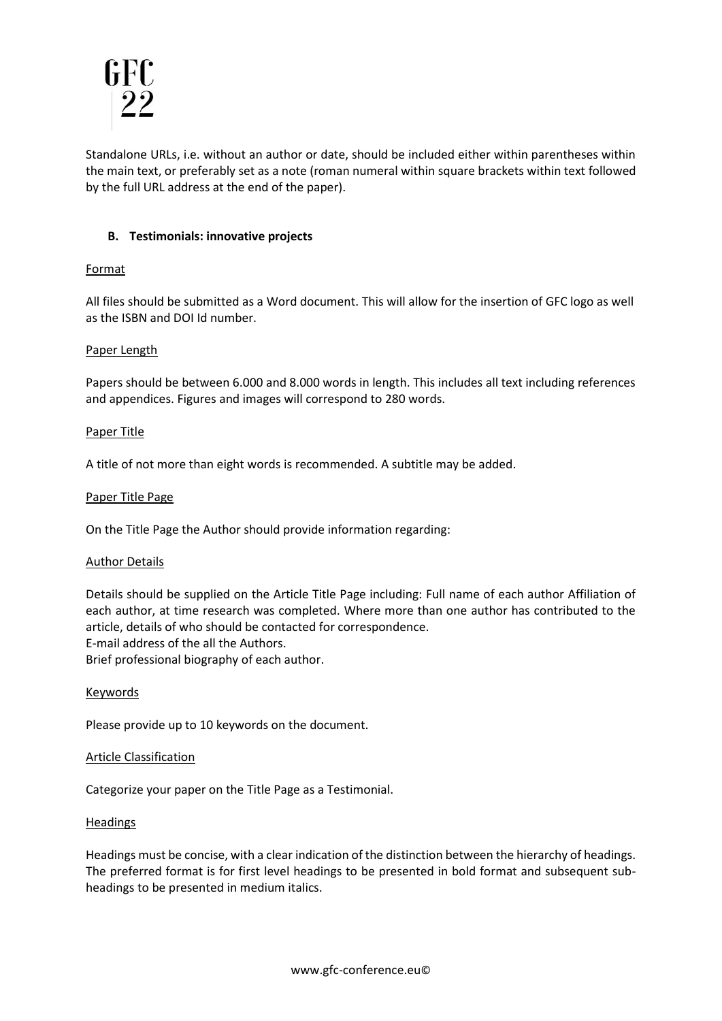

Standalone URLs, i.e. without an author or date, should be included either within parentheses within the main text, or preferably set as a note (roman numeral within square brackets within text followed by the full URL address at the end of the paper).

## **B. Testimonials: innovative projects**

## Format

All files should be submitted as a Word document. This will allow for the insertion of GFC logo as well as the ISBN and DOI Id number.

#### Paper Length

Papers should be between 6.000 and 8.000 words in length. This includes all text including references and appendices. Figures and images will correspond to 280 words.

#### Paper Title

A title of not more than eight words is recommended. A subtitle may be added.

#### Paper Title Page

On the Title Page the Author should provide information regarding:

#### Author Details

Details should be supplied on the Article Title Page including: Full name of each author Affiliation of each author, at time research was completed. Where more than one author has contributed to the article, details of who should be contacted for correspondence. E-mail address of the all the Authors.

Brief professional biography of each author.

#### Keywords

Please provide up to 10 keywords on the document.

#### Article Classification

Categorize your paper on the Title Page as a Testimonial.

#### Headings

Headings must be concise, with a clear indication of the distinction between the hierarchy of headings. The preferred format is for first level headings to be presented in bold format and subsequent subheadings to be presented in medium italics.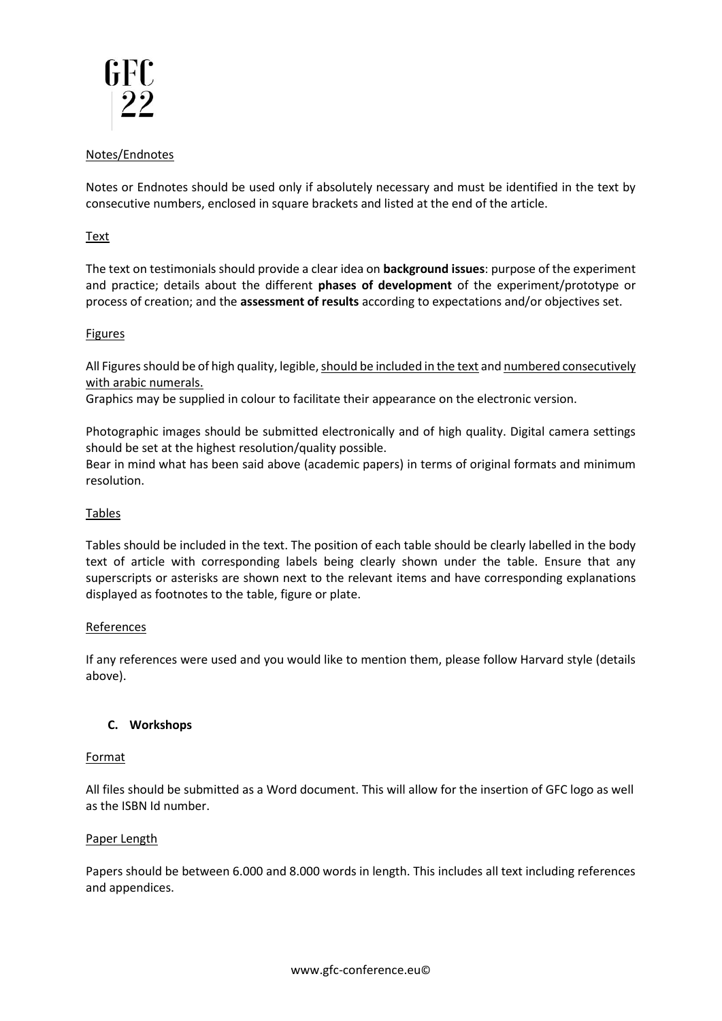

#### Notes/Endnotes

Notes or Endnotes should be used only if absolutely necessary and must be identified in the text by consecutive numbers, enclosed in square brackets and listed at the end of the article.

## Text

The text on testimonials should provide a clear idea on **background issues**: purpose of the experiment and practice; details about the different **phases of development** of the experiment/prototype or process of creation; and the **assessment of results** according to expectations and/or objectives set.

## **Figures**

All Figures should be of high quality, legible, should be included in the text and numbered consecutively with arabic numerals.

Graphics may be supplied in colour to facilitate their appearance on the electronic version.

Photographic images should be submitted electronically and of high quality. Digital camera settings should be set at the highest resolution/quality possible.

Bear in mind what has been said above (academic papers) in terms of original formats and minimum resolution.

#### Tables

Tables should be included in the text. The position of each table should be clearly labelled in the body text of article with corresponding labels being clearly shown under the table. Ensure that any superscripts or asterisks are shown next to the relevant items and have corresponding explanations displayed as footnotes to the table, figure or plate.

#### References

If any references were used and you would like to mention them, please follow Harvard style (details above).

#### **C. Workshops**

#### Format

All files should be submitted as a Word document. This will allow for the insertion of GFC logo as well as the ISBN Id number.

#### Paper Length

Papers should be between 6.000 and 8.000 words in length. This includes all text including references and appendices.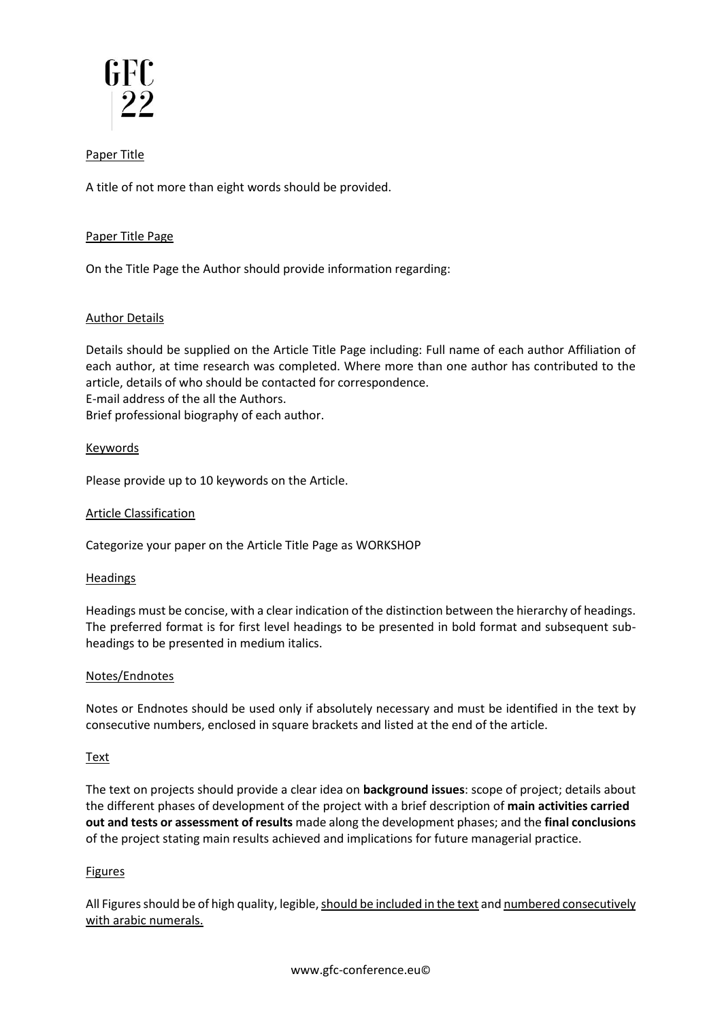

## Paper Title

A title of not more than eight words should be provided.

## Paper Title Page

On the Title Page the Author should provide information regarding:

## Author Details

Details should be supplied on the Article Title Page including: Full name of each author Affiliation of each author, at time research was completed. Where more than one author has contributed to the article, details of who should be contacted for correspondence. E-mail address of the all the Authors. Brief professional biography of each author.

#### Keywords

Please provide up to 10 keywords on the Article.

#### Article Classification

Categorize your paper on the Article Title Page as WORKSHOP

#### Headings

Headings must be concise, with a clear indication of the distinction between the hierarchy of headings. The preferred format is for first level headings to be presented in bold format and subsequent subheadings to be presented in medium italics.

#### Notes/Endnotes

Notes or Endnotes should be used only if absolutely necessary and must be identified in the text by consecutive numbers, enclosed in square brackets and listed at the end of the article.

#### Text

The text on projects should provide a clear idea on **background issues**: scope of project; details about the different phases of development of the project with a brief description of **main activities carried out and tests or assessment of results** made along the development phases; and the **final conclusions** of the project stating main results achieved and implications for future managerial practice.

#### Figures

All Figures should be of high quality, legible, should be included in the text and numbered consecutively with arabic numerals.